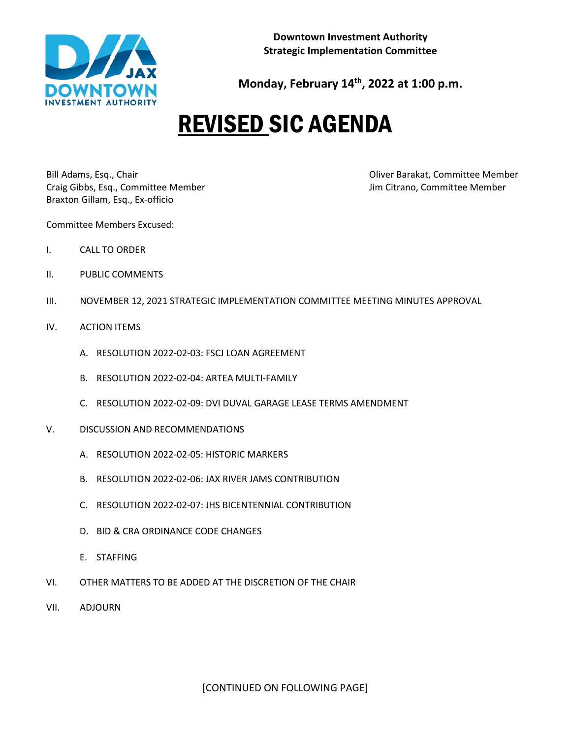

**Monday, February 14th, 2022 at 1:00 p.m.**

## REVISED SIC AGENDA

Bill Adams, Esq., Chair **Disk and The Committee Member** Committee Member Craig Gibbs, Esq., Committee Member Jim Citrano, Committee Member Braxton Gillam, Esq., Ex-officio

Committee Members Excused:

- I. CALL TO ORDER
- II. PUBLIC COMMENTS
- III. NOVEMBER 12, 2021 STRATEGIC IMPLEMENTATION COMMITTEE MEETING MINUTES APPROVAL
- IV. ACTION ITEMS
	- A. RESOLUTION 2022-02-03: FSCJ LOAN AGREEMENT
	- B. RESOLUTION 2022-02-04: ARTEA MULTI-FAMILY
	- C. RESOLUTION 2022-02-09: DVI DUVAL GARAGE LEASE TERMS AMENDMENT
- V. DISCUSSION AND RECOMMENDATIONS
	- A. RESOLUTION 2022-02-05: HISTORIC MARKERS
	- B. RESOLUTION 2022-02-06: JAX RIVER JAMS CONTRIBUTION
	- C. RESOLUTION 2022-02-07: JHS BICENTENNIAL CONTRIBUTION
	- D. BID & CRA ORDINANCE CODE CHANGES
	- E. STAFFING
- VI. OTHER MATTERS TO BE ADDED AT THE DISCRETION OF THE CHAIR
- VII. ADJOURN